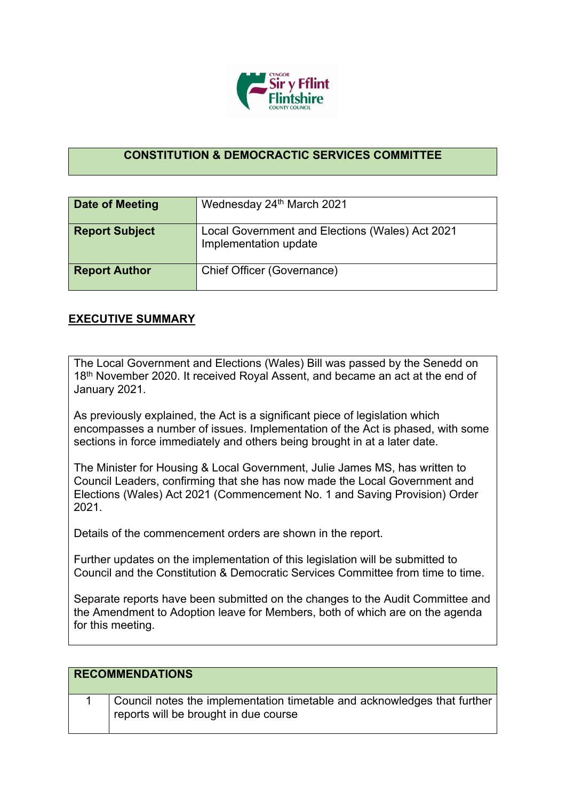

## **CONSTITUTION & DEMOCRACTIC SERVICES COMMITTEE**

| <b>Date of Meeting</b> | Wednesday 24th March 2021                                                |
|------------------------|--------------------------------------------------------------------------|
| <b>Report Subject</b>  | Local Government and Elections (Wales) Act 2021<br>Implementation update |
| <b>Report Author</b>   | Chief Officer (Governance)                                               |

## **EXECUTIVE SUMMARY**

The Local Government and Elections (Wales) Bill was passed by the Senedd on 18<sup>th</sup> November 2020. It received Royal Assent, and became an act at the end of January 2021.

As previously explained, the Act is a significant piece of legislation which encompasses a number of issues. Implementation of the Act is phased, with some sections in force immediately and others being brought in at a later date.

The Minister for Housing & Local Government, Julie James MS, has written to Council Leaders, confirming that she has now made the Local Government and Elections (Wales) Act 2021 (Commencement No. 1 and Saving Provision) Order 2021.

Details of the commencement orders are shown in the report.

Further updates on the implementation of this legislation will be submitted to Council and the Constitution & Democratic Services Committee from time to time.

Separate reports have been submitted on the changes to the Audit Committee and the Amendment to Adoption leave for Members, both of which are on the agenda for this meeting.

| <b>RECOMMENDATIONS</b> |                                                                                                                   |
|------------------------|-------------------------------------------------------------------------------------------------------------------|
|                        | Council notes the implementation timetable and acknowledges that further<br>reports will be brought in due course |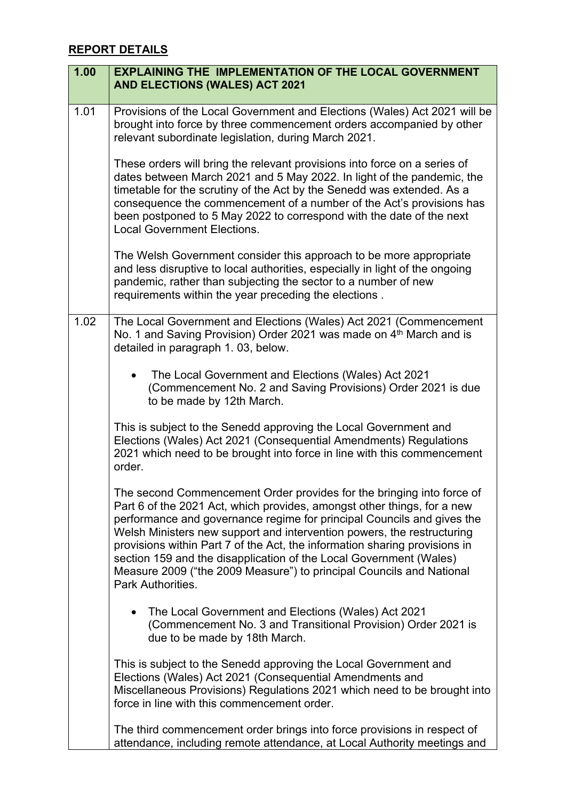## **REPORT DETAILS**

| 1.00 | <b>EXPLAINING THE IMPLEMENTATION OF THE LOCAL GOVERNMENT</b><br><b>AND ELECTIONS (WALES) ACT 2021</b>                                                                                                                                                                                                                                                                                                                                                                                                                                                 |
|------|-------------------------------------------------------------------------------------------------------------------------------------------------------------------------------------------------------------------------------------------------------------------------------------------------------------------------------------------------------------------------------------------------------------------------------------------------------------------------------------------------------------------------------------------------------|
| 1.01 | Provisions of the Local Government and Elections (Wales) Act 2021 will be<br>brought into force by three commencement orders accompanied by other<br>relevant subordinate legislation, during March 2021.                                                                                                                                                                                                                                                                                                                                             |
|      | These orders will bring the relevant provisions into force on a series of<br>dates between March 2021 and 5 May 2022. In light of the pandemic, the<br>timetable for the scrutiny of the Act by the Senedd was extended. As a<br>consequence the commencement of a number of the Act's provisions has<br>been postponed to 5 May 2022 to correspond with the date of the next<br><b>Local Government Elections.</b>                                                                                                                                   |
|      | The Welsh Government consider this approach to be more appropriate<br>and less disruptive to local authorities, especially in light of the ongoing<br>pandemic, rather than subjecting the sector to a number of new<br>requirements within the year preceding the elections.                                                                                                                                                                                                                                                                         |
| 1.02 | The Local Government and Elections (Wales) Act 2021 (Commencement<br>No. 1 and Saving Provision) Order 2021 was made on 4 <sup>th</sup> March and is<br>detailed in paragraph 1.03, below.                                                                                                                                                                                                                                                                                                                                                            |
|      | The Local Government and Elections (Wales) Act 2021<br>(Commencement No. 2 and Saving Provisions) Order 2021 is due<br>to be made by 12th March.                                                                                                                                                                                                                                                                                                                                                                                                      |
|      | This is subject to the Senedd approving the Local Government and<br>Elections (Wales) Act 2021 (Consequential Amendments) Regulations<br>2021 which need to be brought into force in line with this commencement<br>order.                                                                                                                                                                                                                                                                                                                            |
|      | The second Commencement Order provides for the bringing into force of<br>Part 6 of the 2021 Act, which provides, amongst other things, for a new<br>performance and governance regime for principal Councils and gives the<br>Welsh Ministers new support and intervention powers, the restructuring<br>provisions within Part 7 of the Act, the information sharing provisions in<br>section 159 and the disapplication of the Local Government (Wales)<br>Measure 2009 ("the 2009 Measure") to principal Councils and National<br>Park Authorities. |
|      | The Local Government and Elections (Wales) Act 2021<br>$\bullet$<br>(Commencement No. 3 and Transitional Provision) Order 2021 is<br>due to be made by 18th March.                                                                                                                                                                                                                                                                                                                                                                                    |
|      | This is subject to the Senedd approving the Local Government and<br>Elections (Wales) Act 2021 (Consequential Amendments and<br>Miscellaneous Provisions) Regulations 2021 which need to be brought into<br>force in line with this commencement order.                                                                                                                                                                                                                                                                                               |
|      | The third commencement order brings into force provisions in respect of<br>attendance, including remote attendance, at Local Authority meetings and                                                                                                                                                                                                                                                                                                                                                                                                   |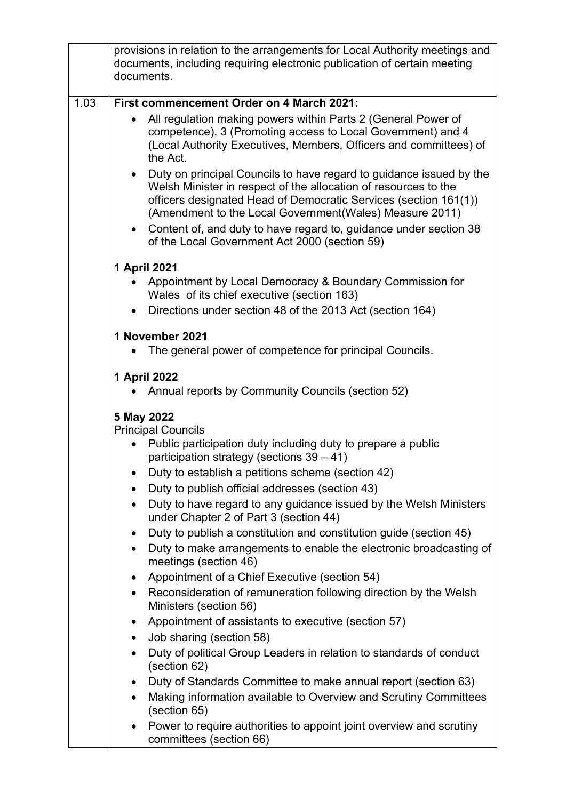|      | provisions in relation to the arrangements for Local Authority meetings and<br>documents, including requiring electronic publication of certain meeting<br>documents.                                                                                                              |
|------|------------------------------------------------------------------------------------------------------------------------------------------------------------------------------------------------------------------------------------------------------------------------------------|
| 1.03 | First commencement Order on 4 March 2021:                                                                                                                                                                                                                                          |
|      | All regulation making powers within Parts 2 (General Power of<br>competence), 3 (Promoting access to Local Government) and 4<br>(Local Authority Executives, Members, Officers and committees) of<br>the Act.                                                                      |
|      | Duty on principal Councils to have regard to guidance issued by the<br>$\bullet$<br>Welsh Minister in respect of the allocation of resources to the<br>officers designated Head of Democratic Services (section 161(1))<br>(Amendment to the Local Government(Wales) Measure 2011) |
|      | • Content of, and duty to have regard to, guidance under section 38<br>of the Local Government Act 2000 (section 59)                                                                                                                                                               |
|      | 1 April 2021                                                                                                                                                                                                                                                                       |
|      | Appointment by Local Democracy & Boundary Commission for<br>Wales of its chief executive (section 163)                                                                                                                                                                             |
|      | Directions under section 48 of the 2013 Act (section 164)                                                                                                                                                                                                                          |
|      | 1 November 2021<br>The general power of competence for principal Councils.                                                                                                                                                                                                         |
|      | 1 April 2022                                                                                                                                                                                                                                                                       |
|      | Annual reports by Community Councils (section 52)                                                                                                                                                                                                                                  |
|      | 5 May 2022<br><b>Principal Councils</b>                                                                                                                                                                                                                                            |
|      | Public participation duty including duty to prepare a public<br>participation strategy (sections $39 - 41$ )                                                                                                                                                                       |
|      | Duty to establish a petitions scheme (section 42)                                                                                                                                                                                                                                  |
|      | Duty to publish official addresses (section 43)                                                                                                                                                                                                                                    |
|      | Duty to have regard to any guidance issued by the Welsh Ministers<br>$\bullet$<br>under Chapter 2 of Part 3 (section 44)                                                                                                                                                           |
|      | Duty to publish a constitution and constitution guide (section 45)<br>٠                                                                                                                                                                                                            |
|      | Duty to make arrangements to enable the electronic broadcasting of<br>$\bullet$<br>meetings (section 46)                                                                                                                                                                           |
|      | Appointment of a Chief Executive (section 54)<br>٠                                                                                                                                                                                                                                 |
|      | Reconsideration of remuneration following direction by the Welsh<br>$\bullet$<br>Ministers (section 56)                                                                                                                                                                            |
|      | Appointment of assistants to executive (section 57)<br>٠                                                                                                                                                                                                                           |
|      | Job sharing (section 58)<br>٠                                                                                                                                                                                                                                                      |
|      | Duty of political Group Leaders in relation to standards of conduct<br>$\bullet$<br>(section 62)                                                                                                                                                                                   |
|      | Duty of Standards Committee to make annual report (section 63)<br>$\bullet$                                                                                                                                                                                                        |
|      | Making information available to Overview and Scrutiny Committees<br>$\bullet$<br>(section 65)                                                                                                                                                                                      |
|      | Power to require authorities to appoint joint overview and scrutiny<br>$\bullet$<br>committees (section 66)                                                                                                                                                                        |